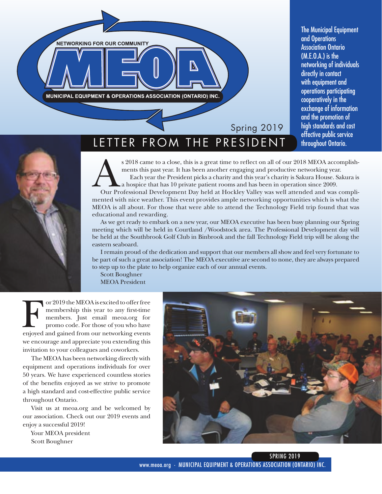

The Municipal Equipment and Operations Association Ontario (M.E.O.A.) is the networking of individuals directly in contact with equipment and operations participating cooperatively in the exchange of information and the promotion of high standards and cost effective public service



LETTER FROM THE PRESIDENT Introughout Ontario.

s 2018 came to a close, this is a great time to reflect on all of our 2018 MEOA accomplishments this past year. It has been another engaging and productive networking year.

Each year the President picks a charity and this year's charity is Sakura House. Sakura is a hospice that has 10 private patient rooms and has been in operation since 2009.

Our Professional Development Day held at Hockley Valley was well attended and was complimented with nice weather. This event provides ample networking opportunities which is what the MEOA is all about. For those that were able to attend the Technology Field trip found that was educational and rewarding.

As we get ready to embark on a new year, our MEOA executive has been busy planning our Spring meeting which will be held in Courtland /Woodstock area. The Professional Development day will be held at the Southbrook Golf Club in Binbrook and the fall Technology Field trip will be along the eastern seaboard.

I remain proud of the dedication and support that our members all show and feel very fortunate to be part of such a great association! The MEOA executive are second to none, they are always prepared to step up to the plate to help organize each of our annual events.

Scott Boughner MEOA President

or 2019 the MEOA is excited to offer free<br>membership this year to any first-time<br>members. Just email meoa.org for<br>promo code. For those of you who have<br>enjoyed and gained from our networking events membership this year to any first-time members. Just email meoa.org for promo code. For those of you who have we encourage and appreciate you extending this invitation to your colleagues and coworkers.

The MEOA has been networking directly with equipment and operations individuals for over 50 years. We have experienced countless stories of the benefits enjoyed as we strive to promote a high standard and cost-effective public service throughout Ontario.

Visit us at meoa.org and be welcomed by our association. Check out our 2019 events and enjoy a successful 2019!

Your MEOA president Scott Boughner

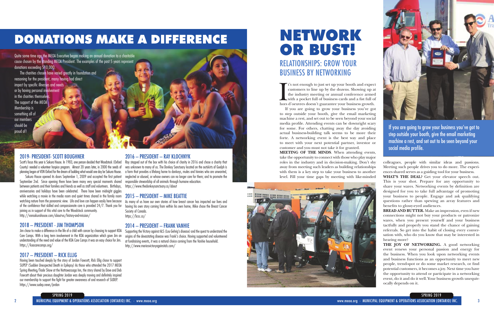## NETWORK OR BUST! RELATIONSHIPS: GROW YOUR BUSINESS BY NETWORKING

I<sub>hors</sub> t's not enough to just set up your booth and expect

> THE JOY OF NETWORKING. A good networking event renews your personal passion and energy for the business. When you look upon networking events and business functions as an opportunity to meet new people, trend-spot or do some market research, or find potential customers, it becomes a joy. Next time you have the opportunity to attend or participate in a networking event, do it and do it well. Your business growth unequivocally depends on it.

This is your shot. Prepare for any opportunity to share your wares. Networking events by definition are designed for you to take full advantage of promoting your business to people. Engage and ask qualifying questions rather than spewing an array features and benefits to glossy-eyed audiences.

**BREAD AND BUTTER.** Make an impression, even if new connections might not buy your products or patronize wares, when you present yourself and your business tactfully and properly you stand the chance of gaining referrals. So get into the habit of closing every conversation with, who do you know that may be interested in hearing more?

Quite some time ago the MEOA Executive began making an annual donation to a charitable cause chosen by the standing MEOA President. The examples of the past 5 years represent donations exceeding \$10,000.

planning began at VON Oxford for the dream of building what would one day be Sakura House. a farm that provides a lifelong home to donkeys, mules and hinnies who are unwanted, Ray stepped out of the box with his choice of charity in 2016 and chose a charity that was unknown to many of us. The Donkey Sanctuary located on the outskirts of Guelph is neglected or abused, or whose owners can no longer care for them; and to promote the responsible stewardship of all animals through humane education.

The charities chosen have varied greatly in foundation and reasoning for the president, many having had direct impact by specific illnesses and needs or by having personal involvement in the charities themselves The support of the MEOA Membership is something all of our members should be proud of!

## DONATIONS MAKE A DIFFERENCE

#### 2019- PRESIDENT- SCOTT BOUGHNER



customers to line up by the dozens. Showing up at the industry meeting or annual conference armed with a pocket full of business cards and a fist full of hors d'oeuvres doesn't guarantee your business growth. If you are going to grow your business you've got to step outside your booth, give the email marketing machine a rest, and set out to be seen beyond your social media profile. Attending events can be downright scary for some. For others, chatting away the day avoiding actual business-building talk seems to be more their forte. A networking event is the best way and place to meet with your next potential partner, investor or customer and you must not take it for granted. **MEETING OF THE MINDS**. When attending events, take the opportunity to connect with those who play major roles in the industry and in decision-making. Don't shy away from meeting such leaders as building relationships with them is a key step to take your business to another level. Fill your time gaps by meeting with like-minded colleagues, people with similar ideas and passions. Meeting such people drives you to do more. The experiences shared serves as a guiding tool for your business. **WHAT'S THE DEAL?** Get your elevator speech out. If you are going to grow your business you've got to step outside your booth, give the email marketing machine a rest, and set out to be seen beyond your social media profile.



Scott's focus this year is Sakura House. In 1983, one person decided that Woodstock (Oxford County) needed a volunteer hospice program. Almost 20 years later, in 2000 the seeds of

Sakura House opened its doors September 1, 2009 and accepted the first patient September 2nd. Since opening there have been many very special moments shared between patients and their families and friends as well as staff and volunteers. Birthdays, https://www.thedonkeysanctuary.ca/about anniversaries and holidays have been celebrated. There have been midnight giggles while watching a movie in the media room and quiet times shared in the family room  $\quad 2015 - \text{PRESIDENT} - \text{MIKE BEATTIE}$ watching nature from the panoramic view. Life and love can happen easily here because of the confidence that skilled and compassionate care is provided 24/7. Thank you for joining us in support of this vital care to the Woodstock community. http://vonsakurahouse.com/about-us/history-and-mission/

#### 2018 – PRESIDENT - JIM THOMPSON

Jim chose to make a difference in the life of a child with cancer by choosing to support KOA Care Camps. With a long term involvement in the KOA organization which gave Jim an understanding of the need and value of the KOA Care Camps it was an easy choice for Jim. https://koacarecamps.org/

#### 2017 – PRESIDENT – RICK ELLIG

Having been touched deeply by the story of Jordan Fawcett, Rick Ellig chose to support SUPEP (Sudden Unexpected Death in Epilepsy) As those who attended the 2017 MEOA Spring Meeting/Trade Show at the Nottawassaga Inn, the story shared by Dave and Deb Fawcett about their precious daughter Jordan was deeply moving and definitely inspired our membership to support the fight for greater awareness of and research of SUDEP. https://www.sudep.news/jordan

#### 2016 – PRESIDENT – RAY KLOCHNYK

As many of us have our own stories of how breast cancer has impacted our lives and having his own story coming from within his own home, Mike chose the Breast Cancer Society of Canada. https://bcsc.ca/

#### 2014 – PRESIDENT – FRANK VANHIE

Supporting the Victory against ALS (Lou Gehrig's disease) and the quest to understand the origins of the devastating disease was Frank's choice. Having supported and volunteered at fundraising events, it was a natural choice coming from the Vanhie household. http://www.mariosvictoryagainstals.com/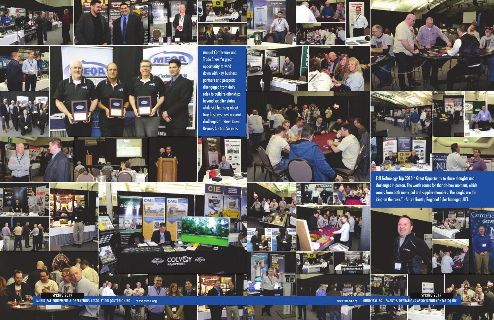